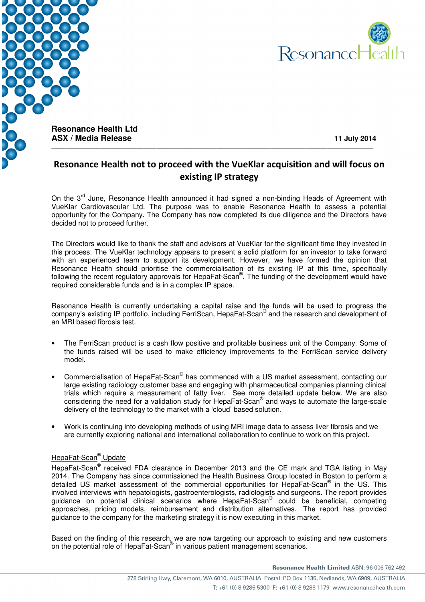



**Resonance Health Ltd ASX / Media Release 11 July 2014** 

## Resonance Health not to proceed with the VueKlar acquisition and will focus on existing IP strategy

On the 3<sup>rd</sup> June, Resonance Health announced it had signed a non-binding Heads of Agreement with VueKlar Cardiovascular Ltd. The purpose was to enable Resonance Health to assess a potential opportunity for the Company. The Company has now completed its due diligence and the Directors have decided not to proceed further.

The Directors would like to thank the staff and advisors at VueKlar for the significant time they invested in this process. The VueKlar technology appears to present a solid platform for an investor to take forward with an experienced team to support its development. However, we have formed the opinion that Resonance Health should prioritise the commercialisation of its existing IP at this time, specifically following the recent regulatory approvals for HepaFat-Scan®. The funding of the development would have required considerable funds and is in a complex IP space.

Resonance Health is currently undertaking a capital raise and the funds will be used to progress the company's existing IP portfolio, including FerriScan, HepaFat-Scan® and the research and development of an MRI based fibrosis test.

- The FerriScan product is a cash flow positive and profitable business unit of the Company. Some of the funds raised will be used to make efficiency improvements to the FerriScan service delivery model.
- Commercialisation of HepaFat-Scan® has commenced with a US market assessment, contacting our large existing radiology customer base and engaging with pharmaceutical companies planning clinical trials which require a measurement of fatty liver. See more detailed update below. We are also considering the need for a validation study for HepaFat-Scan® and ways to automate the large-scale delivery of the technology to the market with a 'cloud' based solution.
- Work is continuing into developing methods of using MRI image data to assess liver fibrosis and we are currently exploring national and international collaboration to continue to work on this project.

## HepaFat-Scan® Update

HepaFat-Scan<sup>®</sup> received FDA clearance in December 2013 and the CE mark and TGA listing in May 2014. The Company has since commissioned the Health Business Group located in Boston to perform a detailed US market assessment of the commercial opportunities for HepaFat-Scan® in the US. This involved interviews with hepatologists, gastroenterologists, radiologists and surgeons. The report provides guidance on potential clinical scenarios where HepaFat-Scan® could be beneficial, competing approaches, pricing models, reimbursement and distribution alternatives. The report has provided guidance to the company for the marketing strategy it is now executing in this market.

Based on the finding of this research, we are now targeting our approach to existing and new customers on the potential role of HepaFat-Scan® in various patient management scenarios.